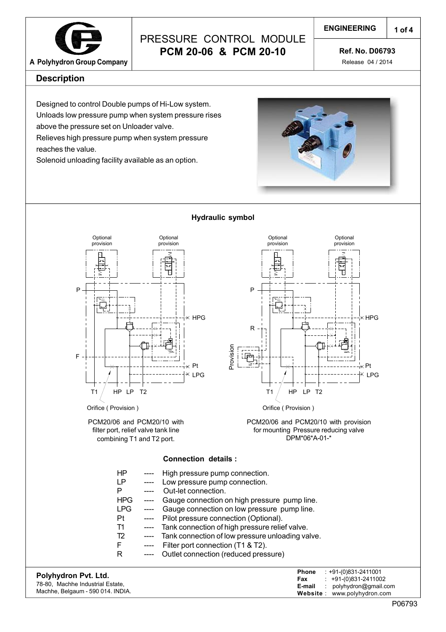

### **A Polyhydron Group Company**

## PRESSURE CONTROL MODULE **PCM 20-06 & PCM 20-10**

**Ref. No. D06793**

Release 04 / 2014

#### **Description**

Designed to control Double pumps of Hi-Low system. Unloads low pressure pump when system pressure rises above the pressure set on Unloader valve.

Relieves high pressure pump when system pressure reaches the value.

Solenoid unloading facility available as an option.





#### **Hydraulic symbol**



PCM20/06 and PCM20/10 with provision for mounting Pressure reducing valve DPM\*06\*A-01-\*

#### **Connection details :**

|                      | ΗP<br>LP   |                            | High pressure pump connection.                                      |
|----------------------|------------|----------------------------|---------------------------------------------------------------------|
|                      | P          | $\qquad \qquad - \qquad -$ | Low pressure pump connection.<br>Out-let connection.                |
|                      | HPG        | $\cdots$                   | Gauge connection on high pressure pump line.                        |
|                      | <b>LPG</b> | $\qquad \qquad \text{---}$ | Gauge connection on low pressure pump line.                         |
|                      | Pt         | ----                       | Pilot pressure connection (Optional).                               |
|                      | Т1         | $\qquad \qquad - - -$      | Tank connection of high pressure relief valve.                      |
|                      | T2         | $---$                      | Tank connection of low pressure unloading valve.                    |
|                      | F          | $---$                      | Filter port connection (T1 & T2).                                   |
|                      | R          |                            | Outlet connection (reduced pressure)                                |
| Polyhydron Pvt. Ltd. |            |                            | $: +91-(0)831-2411001$<br><b>Phone</b><br>+91-(0)831-2411002<br>Fax |

| <b>FUIVIIVUIUII FVI. LIU.</b>     | $: +91-(0)831-2411002$<br>Fax        |
|-----------------------------------|--------------------------------------|
| 78-80, Machhe Industrial Estate,  | <b>E-mail</b> : polyhydron@gmail.com |
| Machhe, Belgaum - 590 014. INDIA. | Website: www.polyhydron.com          |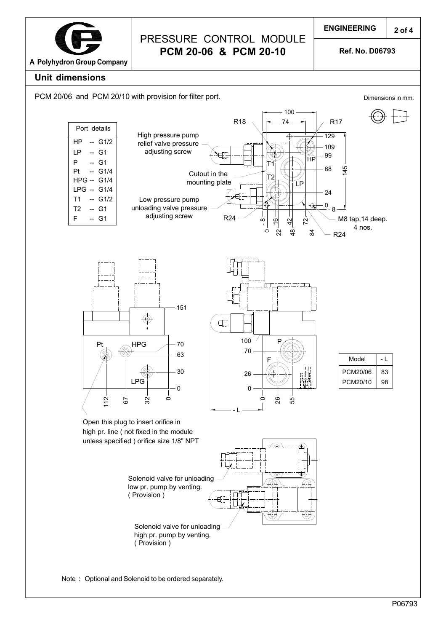

**Ref. No. D06793**

### **Unit dimensions**

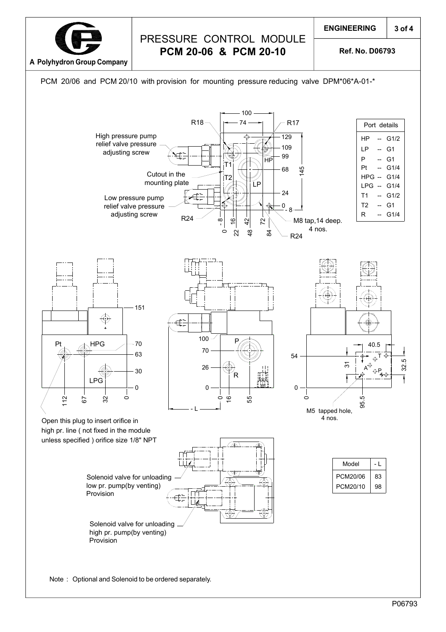

## PRESSURE CONTROL MODULE **PCM 20-06 & PCM 20-10**

**Ref. No. D06793**